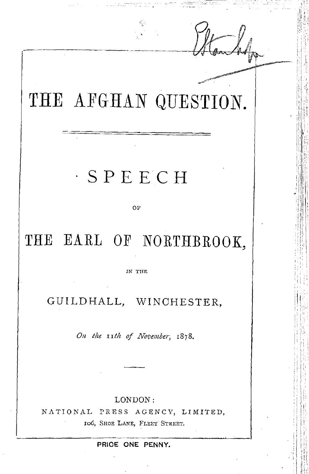| THE AFGHAN QUESTION.                                                        |  |
|-----------------------------------------------------------------------------|--|
|                                                                             |  |
| SPEECH                                                                      |  |
| OF                                                                          |  |
| THE EARL OF NORTHBROOK,                                                     |  |
| IN THE                                                                      |  |
| GUILDHALL, WINCHESTER,                                                      |  |
| On the 11th of November, 1878.                                              |  |
|                                                                             |  |
| LONDON:<br>NATIONAL PRESS AGENCY, LIMITED,<br>106, SHOE LANE, FLEET STREET. |  |
| PRICE ONE PENNY.                                                            |  |

l,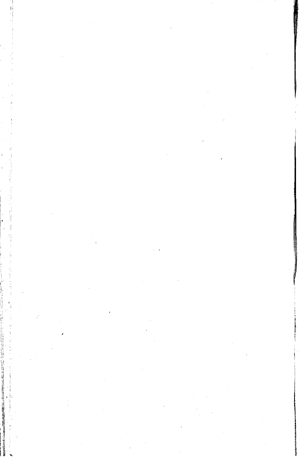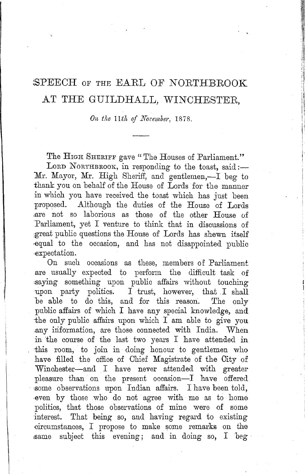## :SPEECH **OF** THE EARL OF NORTHBROOK AT THE GUILDHALL, WINCHESTER,

*OIL the 11th* **of** *ATocenzber,* 1878.

The HIGH SHERIFF gave "The Houses of Parliament."

LORD NORTHBROOK, in responding to the toast, said :-Mr. Mayor, Mr. High Sheriff, and gentlemen,-I beg to thank you on behalf of the House of Lords for the manner in which you have received the toast which has just been proposed. Although the duties of the House of Lords .are not so laborious as those of the other House of Parliament, yet I venture to think that in discussions of great public questions the House of Lords has shewn itself equal to the occasion, and has not disappointed public -espectation.

On such occasions as these, members of Parliament are usually expected to perform the difficult task of saying something upon public affairs without touching upon party politics. I trust, however, that I shall be able to do this, and for this reason. The only public affairs of which I have any special knowledge, and the only public affairs upon which I am able to give you any information, are those connected with India. When in the course of the last two years I have attended in this room, to join in doing honour to gentlemen who have filled the office of Chief Magistrate of the City of Winchester-and I have never attended with greater pleasure than on the present occasion-I have offered some observations upon Indian affairs. I have been told, even by those who do not agree with me as to home politics, that those observations of mine were of some interest. That being so, and having regard to existing circumstances, I propose to make some remarks on the .same subject this evening; and in doing so, I beg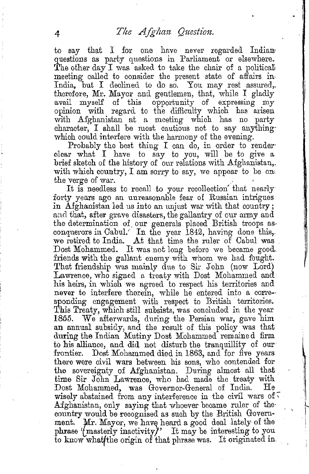to say that I for one have never regarded Indian questions as party questions in Parliament or elsewhere. The other day I was asked to take the chair of a political meeting called to consider the present state of affairs in India, but I declined to do so. You may rest assured,. therefore, Mr. Mayor and gentlemen, that, while I gladly avail myself of this opportunity of expressing my opinion with regard to the difficulty which has arisen with Afghanistan at **x** meeting which has no party  $character$ , I shall be most cautious not to say anything. which could interfere with the harmony of the evening.

Probably the best thing I can do, in order to render clear what I have to say to you, will be to give **<sup>s</sup>** brief sketch of the history of our relations with Afghanistan,. with which country, I am sorry to say, we appear to be one the verge of mar.

It is needless to recall to your recollection that nearly forty years ago an unreasonable fear of Russian intrigues in Afghanistan led us into an unjust war with that country; and that, after grave disasters, the gallantry of our army and the determination of our generals placed British troops as. conquerors in Cabul.' In the year 1842, having done this, we retired to India. At that time the ruler of Cabul was Dost Mohammed. It vas not loug before me became good friends with the gallant enemy with whom we had fought. That friendship was mainly due to Sir John (now Lord) Lawrence, who signed a treaty with Dost Mohammed and his heirs, in which we agreed to respect his territories and never to interfere therein, while he entered into a corresponding engagement with respect to British territories. This Treaty, which still subsists, was concluded in the year 1855. We afterwards, during the Persian war, gave him an annual subsidy, and the result of this policy was that during the Indian Mutiny Dost Mohammed remained firm to his alliance, and did not disturb the tranquillity of our frontier. Dost Mohammed died in 1863, and for five years there were civil wars between his sons, who contended for the sovereignty of Afghanistan. During almost all that time Sir John Lawrence, who had made the treaty with<br>Dost Mohammed, was Governor-General of India. He Dost Mohammed, was Governor-General of India. wisely abstained from any interference in the civil wars of Afghanistan, only saying that whoever became ruler of the country would be recognised as such by the British Government. Mr. Mayor, we have heard a good deal lately of the phrase '(masterly inactivity)' It may be interesting to you to know what the origin of that phrase was. It originated in.

I

**Section**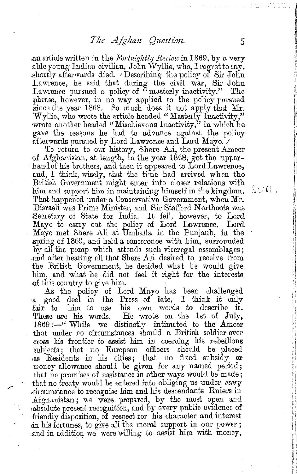## The Afghan Question.

an article written in the Fortnightly Review in 1869, by a very able young Indian civilian, John Wyllie, who, I regret to say, shortly afterwards died. Describing the policy of Sir John Lawrence, he said that during the civil war, Sir John Lawrence pursued a policy of "masterly inactivity." The phrase, however, in no way applied to the policy pursued since the year 1868. So much does it not apply that Mr. Wyllie, who wrote the article headed "Masterly Inactivity," wrote another headed "Mischievous Inactivity," in which he gave the reasons he had to advance against the policy afterwards pursued by Lord Lawrence and Lord Mayo.

To return to our history, Shere Ali, the present Ameer of Afghanistan, at length, in the year 1868, got the upperhand of his brothers, and then it appeared to Lord Lawrence, and, I think, wisely, that the time had arrived when the British Government might enter into closer relations with SUM. him and support him in maintaining himself in the kingdom. That happened under a Conservative Government, when Mr. Disraeli was Prime Minister, and Sir Stafford Northcote was Secretary of State for India. It fell, however, to Lord Mayo to carry out the policy of Lord Lawrence. Lord Mayo met Shere Ali at Umballa in the Punjaub, in the spring of 1869, and held a conference with him, surrounded by all the pomp which attends such viceregal assemblages; and after hearing all that Shere  $\Delta$ li desired to receive from the British Government, he decided what he would give him, and what he did not feel it right for the interests of this country to give him.

As the policy of Lord Mayo has been challenged a good deal in the Press of late, I think it only him to use his own words to describe it.  $\mathrm{fair\_to}$ He wrote on the 1st of July, These are his words. 1869:—"While we distinctly intimated to the Ameer that under no circumstances should a British soldier ever cross his frontier to assist him in coercing his rebellious subjects; that no European officers should be placed as Residents in his cities; that no fixed subsidy or money allowance should be given for any named period; that no promises of assistance in other ways would be made; that no freaty would be entered into obliging us under every circumstance to recognise him and his descendants Rulers in Afghanistan; we were prepared, by the most open and absolute present recognition, and by every public evidence of friendly disposition, of respect for his character and interest in his fortunes, to give all the moral support in our power; and in addition we were willing to assist him with money,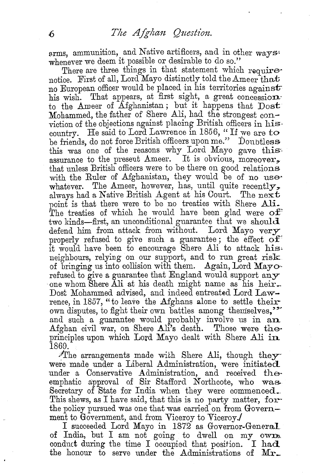arms, ammunition, and Native artificers, and in other ways<sup>;</sup> whenever we deem it possible or desirable to do so."

There are three things in that statement which requirenotice. First of all, Lord Mayo distinctly told the Ameer that no European officer would be placed in his territories against. his wish. That appears, at first sight, a great concession to the Ameer of Afghanistan ; but it happens that Dost Mohammed, the father of Shere Ali, had the strongest con viction of the objections against placing British officers in his. country. He said to Lord Lawrence in 1856, "If we are to be friends, do not force British officers upon me." Doubtless this was one of the reasons why Lord Mayo gave thisassurance to the preseut Ameer. It is obvious, moreover. that unless British officers were to be there on goocl relations with the Ruler of Afghanistan, they would be of no usewhatever. The Ameer, however, has, until quite recently, always had a Native British Agent at his Court. The next point is that there mere to be no treaties with Shere **Ali-**The treaties of which he would have been glad were  $\sigma f$ two kinds-first, an unconditional guarantee that we should defend him from attack from without. Lord Mayo  $\text{very}$ properly refused to give such a guarantee; the effect of it would have been to encourage Shere Ali to attack hisneighbours, relying on our support, and to run great risk of bringing us into collision vith them. Again, Lord Mayorefused to give a guarantee that England would support any one whom Shere Ali at his death might name as his heir. Dost Xohammed advised, and indeed entreated Lord Lawrence, in 1857, " to leave the Afghans alone to settle their own disputes, to fight their own battles among themselves," and such a guarantee would probably involve us in **an**  Afghan civil mar, on Shere Ali's death. Those were theprinciples upon which Lord Mayo dealt with Shere Ali in  $1869$ .

The arrangements made with Shere Ali, though theywere made under a Liberal Administration, were initiated under a Conservative Administration, and received theemphatic approval of Sir Stafford Northcote, who was Secretary of State for India when they were commenced. This shews, as I have said, that this is no party matter, forthe policy pursued was one that was carried on from Government to Government, and from Viceroy to Viceroy/

I succeeded Lord Mayo in 1872 as Governor-General of India, but I am not going to dwell on my owns.<br>
conduct during the time I occupied that position. I had the honour to serve under the Administrations of Mr. conduct during the time I occupied that position. I had the honour to serve under the Administrations of Mr.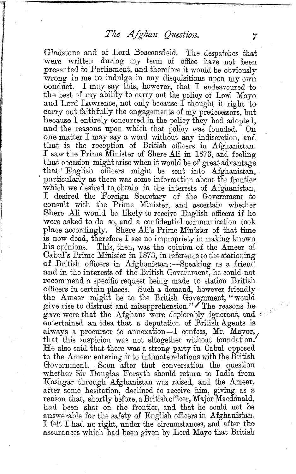Gladstone and of Lord Beaconsfield. The despatches that were written during my term of office have not been presented to Parliament, and therefore it would be obviously wrong in me to indulge in any disquisitions upon my own conduct. I may say this, however, that I endeavoured to the best of my ability to carry out the policy of Lord Mayo and Lord Lawrence, not only because I thought it right to carry out faithfully the engagements of my predecessors, but because I entirely concurred in the policy they had adopted, and the reasons upon which that policy was founded. On one matter I may say a word without any indiscretion, and that is tho reception of British oficers in Afghanistap. I saw the Prime Minister of Shere AE in 1873, ancl feeling that occasion might arise when it would be of great advantage<br>that 'English officers' might be sent into Afghanistan, particularly as there was some information about the frontier which we desired to obtain in the interests of Afghanistan, I desired the Foreign Xecretary of the Government to consult with the Prime Minister, and ascertain whether Shere Ali would be likely to receive English officers if he were asked to do so, and a confidential communication took place accordingly. Shere Ali's Prime Miuister of that time is now dead, therefore I see no impropriety in making known his opinions. This, then, was the opinion of the Ameer of  $Calv1's Prime Minister in 1873, in reference to the stationing$ of British officers in Afghanistan :- Speaking as a friend and in the interests of the British Government, he could not recomunend a specific request being made to station British officers in certain places. Such a demand, however friendly the Ameer might be to the British Government, "would give rise to distrust and misapprehension." The reasons he gave mere that the Afghans were deplorably ignorant, and ' entertained an idea that a deputation of British Agents is always a precursor to annexation-I confess, Mr. Mayor, that this suspicion was not altogether without foundation. He also said that there was a strong party in Cabul opposed to the Ameer entering into intimate relations with the British Government. Soon after that conversation the question whether Sir Douglas Forsyth should return to India from Kashgar through Afghanistan was raised, and the Ameer, after some hesitation, declined to receive him, giving as a reason that, shortly before, a British officer, Major Macdonald, bad been shot on the frontier, and that he could not be answerable for the safety of English officers in Afghanistan. I felt I had no right, nnder the circumstances, and after the assurances which had been given by Lord Mayo that British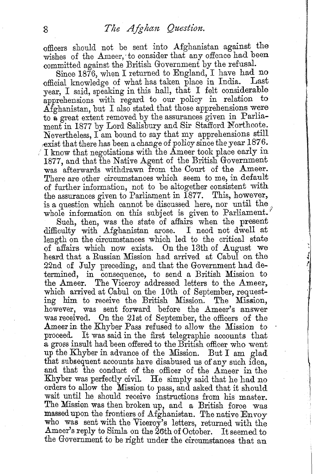.officers should not be sent into Afghanistan against the wishes of the Ameer, to consider that any offence had been committed against the British Government by the refusal.

Since 1876, when I returned to England, I have had no official knowledge of what has taken place in India. Last year, I said, speaking in this hall, that I felt considerable apprehensions with regard to our policy in relation Afghanistan, but I also stated that those apprehensions were to  $\tilde{a}$  great extent removed by the assurances given in Parliament in 1877 by Lord Salisbury and Sir Stafford Northcote. Bevertheless, I am bound to say that my apprehensions still exist that there has been a change of policy since the year 1876. I know that negotiations with the Ameer took place early in 1877, and that the Native Agent of the British Government was afterwards withdrawn from the Cout of the Ameer-There are other circumstances which seem to me, in default of further information, not to be altogether consistent with the assurances given to Parliament in 1877. This, however,<br>is a question which cannot be discussed here, nor until the<br>whole information on this subject is given to Parliament.<br>Such then was the state of effeirs when the p is a question which cannot be discussed here, nor until the whole information on this subject is given to Parliament.

Such, then, was the state of affairs when the present difficulty with Afghanistan arose. I need not dwell at length on the circumstances which led to the critical state of affairs which now exists. On the 13th of August **we**  heard that a Russian Mission had arrived at Cabul on the 22nd of July preceding, and that the Government had determined, in consequence, to send a British Mission to the Ameer, The Viceroy addressed letters to the Ameer, which arrived at Cabul on the 10th of September, requesting him to receive the British Mission. The Mission, however, was sent forward before the Ameer's answer was received. On the 21st of September, the officers of the Ameer in the Khyber Pass refused to allow the Mission to proceed. It was said in the first telegraphic accounts that a gross insult had been offered to the British officer who went up the Khyber in advance of the Mission. But I am glad that subsequent accounts have disabused us of any such idea, and that the conduct of the officer of the Ameer in the Ehyber was perfectly civil. He simply said that he had no orders to allow the Mission to pass, and asked that it should wait until he should receive instructions from his master. The Mission was then broken up, and **a** British force was massed upon the frontiers of Afghanistan. The native Envoy who was sent with the Viceroy's letters, returned with the Ameer's reply to Simla on the 26th of October. It seemed to the Government to be right under the circumstances that *an* 

I I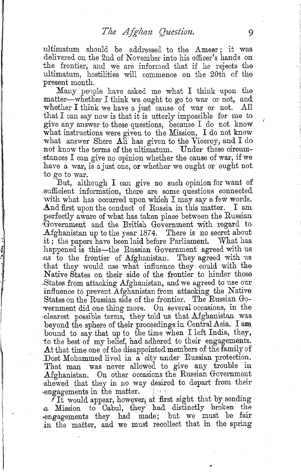ultimatum should be addressed to the Ameer: it was delivered on the 2nd of Korember into his officer's hands on the frontier, and we are informed that if he rejects the ultimatum, hostilities will commence on the 20th of the present month.

Many people have asked me what I think upon the matter-whether I think we ought to go to war or not, and whether I think we have a just cause of war or not. All that I can say now is that it is utterly impossible for me to give any answer to these questions, because I do not know what instructions were given to the Mission, I do not know what answer Shere **Ali** has given to the Viceroy, and I do not know the terms of the ultimatum. Under these circumstances I can give no opinion whether the cause of war, if we have a war, is a just one, or whether we ought or ought not to go to war.

But, although I can give no such opinion for want of sufficient information, there are some questions connected with what has occurred upon which I may say a few words. And first upon the conduct of Russia in this matter. I am perfectly aware of what has taken place between the Russian Government and the British Government with regard to Afghanistan up to the year  $1874$ . There is no secret about it ; the papers have been laid before Parliament. What has happened is this-the Russian Government agreed with us as to the frontier of Afghanistan. They agreed with us that they would use what influence they could with the Native States on their side of the frontier to hinder those States from attacking Afghanistan, and we agreed to use our influence to prevent Afghanistan from attacking the Native States on the Russian side of the frontier. The Russian GO- ~ernment did one thing more. On several occasions, in the alearest possible terms, they told us that Afghanistan was beyond the sphere of their proceedings in Central Asia. I am bound to say that up to the time when I left India, they, -to the best of my belief, had adhered to their engagements. **At** that time one of the disappointed members of the family of .Dost Mohammed lived in a city under Russian protection. That man was never allowed to give any trouble in Afghanistan. On other occasions the Russian Government shewed that they in no way desired to depart from their<br>engagements in the matter.

engagements in the matter.  $\mathbb{I}$ :<br>It would appear, however, at first sight that by sending It would appear, however, at first sight that by sending a Mission to Cabul, they had distinctly broken the is +engagements they had made; but must be fair in the matter, and we must recollect that in the spring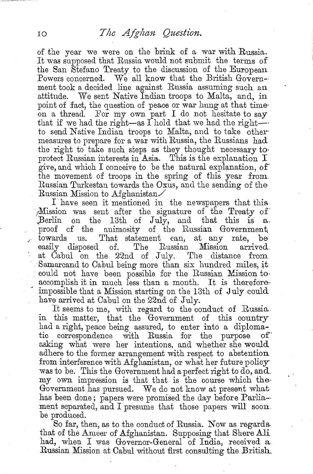of the year we were on the brink of a war with Russia. It was supposed that Russia would not submit the terms of the San Stefano Treaty to the discussion of the European Powers concerned. We all know that the British Govern-ment took a decided line against Russia assuming such an attitude. We sent Native Indian troops to Malta, and, in point of fact, the question of peace or war hung at that timeon *n* thread, For my om part I do not hesitate to say that if we had the right-as  $\overline{I}$  hold that we had the rightto send Native Indian troops to Malta, and to take othermeasures to prepare for a war with Russia, the Russians had the right to take such steps as they thought necessary to protect Russian interests in Asia. This is the explanation I give, and which I conceive to be the natural explanation, of' the movement of troops in the spring of this year from Russian Turkestan towards the Oxus, and the sending of the Russian Mission to Afghanistan $\mathscr N$ 

I have seen it mentioned in the newspapers that this /Mission wns sent after the signature of the Treaty of' Berlin on the 13th of July, and that this is a. proof cf the animosity of the Russian Government<br>towards us. That statement can, at any rate, be That statement can, at any rate, be<br>I of. The Russian Mission arrived. easily disposed of. The Russian Mission at Cabul on the 22nd of July. The distance from Samarcand to Cabul being more than six hundred miles, it could not have been possible for the Russian Mission to accomplish it in much less than a month. It is thereforeimpossible that a Mission starting on the 13th of July could have arrived at Cabul on the 22nd of July.

It seems to me, with regard to the conduct of Russia. in this matter, that the Government of this country had a right, peace being assured, to enter into a diplomatic correspondence with Russia for the purpose asking what were her intentions, and whether she would adhere to the former arrangement with respect to abstention from interference with Afghanistan, or what her future policy was to be. This the Governuent had a perfect right to do, and. my own impression is that that is the course which the. Government has pursued. We do not know at present what has been done; papers were promised the day before Parlia-ment separated, and I presume that those papers will soon. be producecl.

So far, then, as to the conduct of Russia. Now as regards. that of the Ameer of Afghanistan. Supposing that Shere Ali had, when I was Governor-General of India, received a Russian Mission at Cabul without first consulting the British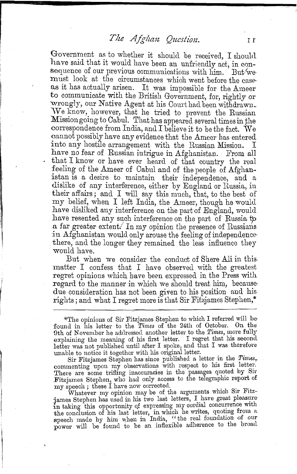Government as to whether it should be received, I should have said that it would have been an unfriendly act, in consequence of our previous communications with him. But we must look at the circumstances which went before the case as it has actually arisen. It was impossible for the Ameer to communicate with the British Government, for, rightly or wrongly, our Native Agent at his Court had been withdrawn. We know, however, that he tried to prevent the Russian Mission going to Cabul. That has appeared several times in the correspondence from India, and I believe it to be the fact. We cannot possibly have any evidence that the Ameer has entered into any hostile arrangement with the Russian Mission. I have no fear of Russian intrigue in Afghanistan. From all that I know or have ever heard of that country the real feeling of the Ameer of Cabul and of the people of Afghanistan is a desire to maintain their independence, and a dislike of any interference, either by England or Russia, in their affairs; and I will say this much, that, to the best of my belief, when I left India, the Ameer, though he would have disliked any interference on the part of England, would have resented any such interference on the part of Russia to a far greater extent. In my opinion the presence of Russians in Afghanistan would only arouse the feeling of independence there, and the longer they remained the less influence they would have.

But when we consider the conduct of Shere Ali in thismatter I confess that I have observed with the greatest regret opinions which have been expressed in the Press with regard to the manner in which we should treat him, because due consideration has not been given to his position and his rights; and what I regret more is that Sir Fitziames Stephen,\*

\*The opinions of Sir Fitzjames Stephen to which I referred will be found in his letter to the Times of the 24th of October. On the 9th of November he addressed another letter to the Times, more fully explaining the meaning of his first letter. I regret that his second.<br>letter was not published until after I spoke, and that I was therefore unable to notice it together with his original letter.

Sir Fitzjames Stephen has since published a letter in the Times, commenting upon my observations with respect to his first letter. There are some trifling inaccuracies in the passages quoted by Sir<br>Fitzjames Stephen, who had only access to the telegraphic report of<br>my speech; these I have now corrected.

Whatever my opinion may be of the arguments which Sir Fitzjames Stephen has used in his two last letters, I have great pleasure in taking this opportunity of expressing my cordial concurrence with<br>the conclusion of his last letter, in which he writes, quoting from a<br>speech made by him when in Inda, "the real foundation of our power will be found to be an inflexible adherence to the broad.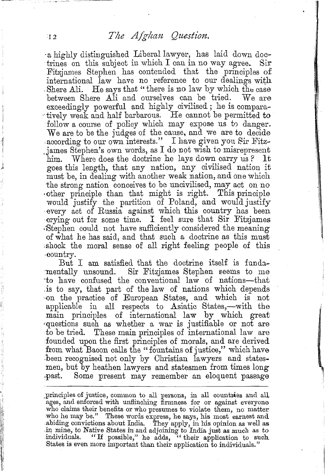## The Afghan Ouestion.

**-a** highly distinguished Liberal lawyer, has laid down doctrines on this subject in which I can in no way agree. Sir Fitzjmes Stephen has contended that the principles of international law have no reference to our dealings with Shere Ali. He says that " there is no law by which the case between Shere Ali and ourselves can be tried. We are exceedingly powerful and highly civilised; he is compara-..tively weak and half barbarous. He cannot be permitted to follow a course of policy which may expose us to danger. We are to be the judges of the cause, and we are to decide  $\alpha$  according to our own interests." I have given you Sir Fitzjames Stephen's own words, as I do not wish to misrepresent him. Where does the doctrine he lays down carry us? It goes this length, that any nation, any civilisecl nation it must be, in dealing with another weak nation, and one which the strong nation conceives to be uncivilised, may act on no lother principle than that might is right. This principle would justify the partition of Poland, and would justify every act of Eussia against which this country has been crying out for some time. I feel sure that Sir Fitzjames &Stephen could not have sufficiently considered the meaning of what he has saicl, and that such a doctrine as this must .shock the moral sense of a11 right feeling people of this  $\cdot$ country.

But I am satisfied that the doctrine itself is funds mentally unsound. Sir Fitzjames Stephen seems to me to have confused the conventional law of nations-that .is to say, that part of the law of nations which depends .on the practice of European States, and which is not applicable in all respects to Asiatic States,—with the main principles of international law by which great -questions such as whether a war is justifiable or not are to be tried. These main principles of international law are founded upon the first principles of morals, and are derived from what Bacon calls the "fountains of justice," which have been recognised not only by Christian lawyers and statesmen, but by heathen lawyers and statesmen from times long past. Some present may remember an eloquent passage Some present may remember an eloquent passage

principles of justice, common to all persons, in all countries and all ages, and enforced with unflinching firmness for or against everyone who claims their benefits or who presumes to violate them, no matter vho he may be." These vords express, he says, **his** most earnest ancl .abiding convictions about India. They apply, in 1Gs opinion as well as **'iq** mine, to Native States in aiid acljoining to hclia just *as* much as to in mine, to Native States in and adjoining to India just as much as to individuals. "If possible," he adds, " their application to such States is even more important than their application to individuals."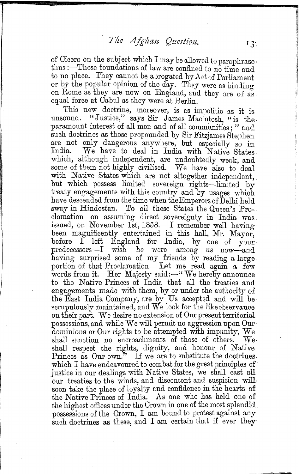of Cicero on the subject which I may be allowed to paraphrase. thus :-These foundations of law are confined to no time and to no place. They cannot be abrogated by Act of Parliament or by the popular opinion of the day. They were as binding on Rome as they are now on England, and they are of as equal force at Cabul as they were at Berlin.

This new doctrine, moreover, is as impolitic as it is unsound. "Justice." says Sir James Macintosh "is the "Justice," says Sir James Macintosh, "is the. paramount interest of all men and of all communities; " and such doctrines as those propounded by Sir Fitzjames Stephen are not only dangerous anywhere, but especially so in  $\overline{\text{India}}$ . We have to deal in India with Notive States India. We have to deal in India with Native States i *<sup>I</sup>* which, although independent, are undoubtedly weak, and some of them not highly civilised. We have also to deal with Native States which are not altogether independent, but which possess limited sovereign rights-limited by treaty engagements with this country and by usages which have descended from the time when the Emperors of Delhi held sway in Hindostan. To all these States the Queen's Proclamation on assuming direct sovereignty in India was. issued, on November 1st, 1858. I remember well having been magnificently entertained in this hall, Mr. Mayor, before I left England for India, by one of your -<br>predecessors---I wish he were among us now--and having surprised some of my friends by reading a large portion of that Proclamation. Let me read again a few words from it. Her Majesty said: $-$ " We hereby announce to the Native Princes of India that all the treaties and engagements made with them, by or under the authority of the East India Company, are by Us accepted and will be the East India Company, are by Us accepted and will be scrupulously maintained, and We look for the likeobservance<br>on their part. We desire no extension of Our present territorial scrupulously maintained, and We look for the like $\rm obs$ ervance on their part. We desire no extension of Our present territorial possessions, and while We will permit no aggression upon Our. dominions or Our rights to be attempted with impunity, We shall sanction no encroachments of those of others. We shall sanction no encroachments of those of others. shall respect the rights, dignity, and honour of Native Princes as Our own." If we are to substitute the doctrines. which I have endeavoured to combat for the great principles of justice in our dealings with Native States, we shall cast **all**  our treaties to the winds, and discontent and suspicion will soon take the place of loyalty and confidence in the hearts of the Native Princes of India. As one who has held one of the highest offices under the Crown in one of the most splendid. possessions of the Crown, I am bound to protest against any such doctrines as these, and I am certain that if ever they

3

I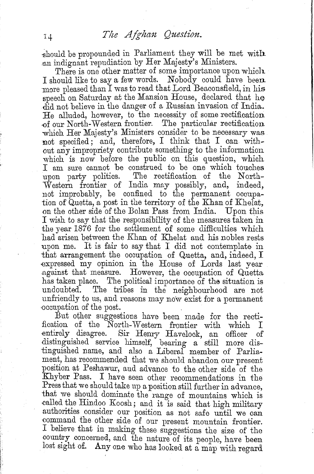## The Afghan Question.

should be propounded in Parliament they will be met with an indignant repudiation by Her Majesty's Ministers.

There is one other matter of some importance upon which I should like to say a few words. Nobody could have been mgre pleased than I was to read that Lord Beaconsfield, in his speech on Saturday at the Mansion House, declared that he did not believe in the danger of **n** Russian invasion of India. He alluded, however, to the necessity of some rectification of our North-Western frontier. The particular rectification which Her Majesty's Ministers consider to be necessary was not specified; and, therefore, I think that I can without any impropriety contribute something to the information which is now before the public on this question, which I am sure cannot be construed to be one which touches<br>upon party politics. The rectification of the North-The rectification of the North-Western frontier of India may possibly, and, indeed, not improbably, be confined to the permanent occupation of Quetta, a post in the territory of the Khan of Khelat, on the other side of the Bolan Pass from India. Upon this on the other side of the Bolan Pass from India. I wish to say that the responsibility of the measures taken in the year IS76 for the settlement of some difficulties which had arisen between the Khan of Khelat and his nobles rests upon me. It is fair to say that  $I$  did not contemplate in that arrangement the occupation of Quetta, and, indeed, I expressed my opinion in the House of Lords last year against that measure. However, the occupation of Quetta has taken place. The political importance of the situation is undoubted. The tribes in the neighbourhood are not unfriendly to us, and reasons may now exist for a permanent occupation of the post.

But other suggestions have been made for the rectification of the North-Western frontier with which I entirely disagree. Sir Henry Havelock, an officer of distinguished service himself, bearing a still more distinguished name, and also a Liberal member of Parliament, has recommended that we should abandon our present position at Peshawur, and advance to the other side of the Khyber Pass. I have seen other recommendations in the Press that we should take up a position still further in advance, that me should dominate the range of mountains which is called the Hindoo Koosh; and it is said that high military authorities consider our position as not safe until we can command the other side of our present mountain frontier. **I** believe that in making these suggestions the size of the country concerned, and the nature of its people, have been lost sight of. Any one who has looked at a map with regard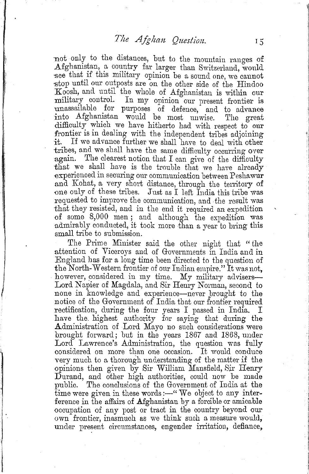not only to the distances, but to the mountain ranges of Afghanistan, a country far larger than Switzerland, would see that if this military opinion be a sound one, we cannot stop until our outposts are on the other side of the Hindoo  $\widetilde{\text{K}}$ oosh, and until the whole of Afghanistan is within our military control. In my opinion our present frontier is unassailable for purposes of defence, and to advance into Afghanistan would be most unwise. The great difficulty which we have hitherto had with respect to our frontier is in dealing with the independent tribes adjoining If we advance further we shall have to deal with other it. tribes, and we shall have the same difficulty occurring over again. The clearest notion that I can give of the difficulty that we shall have is the trouble that we have already experienced in securing our communication between Peshawur and Kohat, a very short distance, through the territory of one only of these tribes. Just as I left India this tribe was requested to improve the communication, and the result was that they resisted, and in the end it required an expedition of some 8,000 men; and although the expedition was admirably conducted, it took more than a vear to bring this small tribe to submission.

The Prime Minister said the other night that "the attention of Viceroys and of Governments in India and in England has for a long time been directed to the question of the North-Western frontier of our Indian empire." It was not. however, considered in my time.  $M_y$  military advisers— Lord Napier of Magdala, and Sir Henry Norman, second to none in knowledge and experience-never brought to the notice of the Government of India that our frontier required rectification, during the four years I passed in India. I have the highest authority for saying that during the Administration of Lord Mayo no such considerations were brought forward; but in the years 1867 and 1868, under Lord Lawrence's Administration, the question was fully considered on more than one occasion. It would conduce very much to a thorough understanding of the matter if the opinions then given by Sir William Mansfield, Sir Henry  $\overline{\mathrm{D}}$ urand, and other high authorities, could now be made public. The conclusions of the Government of India at the time were given in these words:—"We object to any interference in the affairs of Afghanistan by a forcible or amicable occupation of any post or tract in the country beyond our own frontier, inasmuch as we think such a measure would, under present circumstances, engender irritation, defiance,